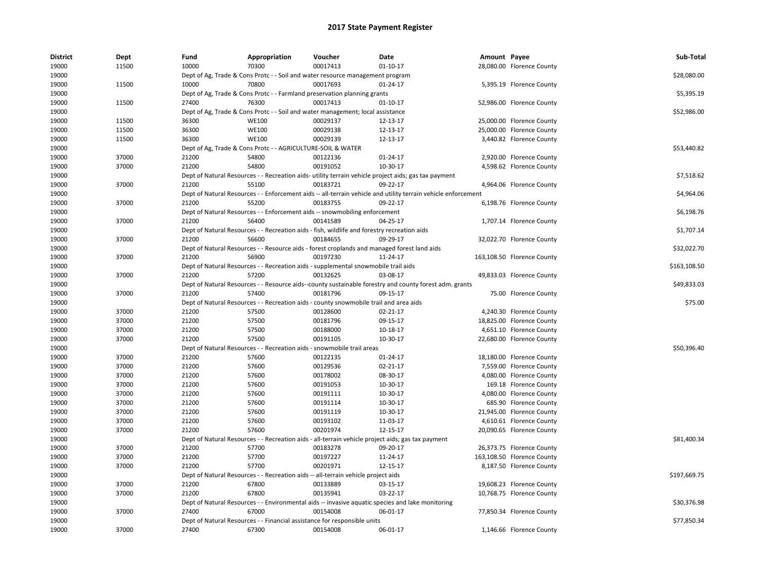| <b>District</b> | Dept  | Fund  | Appropriation                                               | Voucher                                                                                     | Date                                                                                                          | Amount Payee |                            | Sub-Total    |
|-----------------|-------|-------|-------------------------------------------------------------|---------------------------------------------------------------------------------------------|---------------------------------------------------------------------------------------------------------------|--------------|----------------------------|--------------|
| 19000           | 11500 | 10000 | 70300                                                       | 00017413                                                                                    | $01 - 10 - 17$                                                                                                |              | 28,080.00 Florence County  |              |
| 19000           |       |       |                                                             | Dept of Ag, Trade & Cons Protc - - Soil and water resource management program               |                                                                                                               |              |                            | \$28,080.00  |
| 19000           | 11500 | 10000 | 70800                                                       | 00017693                                                                                    | $01 - 24 - 17$                                                                                                |              | 5,395.19 Florence County   |              |
| 19000           |       |       |                                                             | Dept of Ag, Trade & Cons Protc - - Farmland preservation planning grants                    |                                                                                                               |              |                            | \$5,395.19   |
| 19000           | 11500 | 27400 | 76300                                                       | 00017413                                                                                    | $01 - 10 - 17$                                                                                                |              | 52,986.00 Florence County  |              |
| 19000           |       |       |                                                             | Dept of Ag, Trade & Cons Protc - - Soil and water management; local assistance              |                                                                                                               |              |                            | \$52,986.00  |
| 19000           | 11500 | 36300 | <b>WE100</b>                                                | 00029137                                                                                    | 12-13-17                                                                                                      |              | 25,000.00 Florence County  |              |
| 19000           | 11500 | 36300 | <b>WE100</b>                                                | 00029138                                                                                    | 12-13-17                                                                                                      |              | 25,000.00 Florence County  |              |
| 19000           | 11500 | 36300 | <b>WE100</b>                                                | 00029139                                                                                    | 12-13-17                                                                                                      |              | 3,440.82 Florence County   |              |
| 19000           |       |       | Dept of Ag, Trade & Cons Protc - - AGRICULTURE-SOIL & WATER |                                                                                             |                                                                                                               |              |                            | \$53,440.82  |
| 19000           | 37000 | 21200 | 54800                                                       | 00122136                                                                                    | 01-24-17                                                                                                      |              | 2,920.00 Florence County   |              |
| 19000           | 37000 | 21200 | 54800                                                       | 00191052                                                                                    | 10-30-17                                                                                                      |              | 4,598.62 Florence County   |              |
| 19000           |       |       |                                                             |                                                                                             | Dept of Natural Resources - - Recreation aids- utility terrain vehicle project aids; gas tax payment          |              |                            | \$7,518.62   |
| 19000           | 37000 | 21200 | 55100                                                       | 00183721                                                                                    | 09-22-17                                                                                                      |              | 4,964.06 Florence County   |              |
| 19000           |       |       |                                                             |                                                                                             | Dept of Natural Resources - - Enforcement aids -- all-terrain vehicle and utility terrain vehicle enforcement |              |                            | \$4,964.06   |
| 19000           | 37000 | 21200 | 55200                                                       | 00183755                                                                                    | 09-22-17                                                                                                      |              | 6,198.76 Florence County   |              |
| 19000           |       |       |                                                             | Dept of Natural Resources - - Enforcement aids -- snowmobiling enforcement                  |                                                                                                               |              |                            | \$6,198.76   |
| 19000           | 37000 | 21200 | 56400                                                       | 00141589                                                                                    | 04-25-17                                                                                                      |              | 1,707.14 Florence County   |              |
| 19000           |       |       |                                                             | Dept of Natural Resources - - Recreation aids - fish, wildlife and forestry recreation aids |                                                                                                               |              |                            | \$1,707.14   |
| 19000           | 37000 | 21200 | 56600                                                       | 00184655                                                                                    | 09-29-17                                                                                                      |              | 32,022.70 Florence County  |              |
| 19000           |       |       |                                                             |                                                                                             | Dept of Natural Resources - - Resource aids - forest croplands and managed forest land aids                   |              |                            | \$32,022.70  |
| 19000           | 37000 | 21200 | 56900                                                       | 00197230                                                                                    | 11-24-17                                                                                                      |              | 163,108.50 Florence County |              |
| 19000           |       |       |                                                             | Dept of Natural Resources - - Recreation aids - supplemental snowmobile trail aids          |                                                                                                               |              |                            | \$163,108.50 |
| 19000           | 37000 | 21200 | 57200                                                       | 00132625                                                                                    | 03-08-17                                                                                                      |              | 49,833.03 Florence County  |              |
| 19000           |       |       |                                                             |                                                                                             | Dept of Natural Resources - - Resource aids--county sustainable forestry and county forest adm. grants        |              |                            | \$49,833.03  |
| 19000           | 37000 | 21200 | 57400                                                       | 00181796                                                                                    | 09-15-17                                                                                                      |              | 75.00 Florence County      |              |
| 19000           |       |       |                                                             | Dept of Natural Resources - - Recreation aids - county snowmobile trail and area aids       |                                                                                                               |              |                            | \$75.00      |
| 19000           | 37000 | 21200 | 57500                                                       | 00128600                                                                                    | 02-21-17                                                                                                      |              | 4,240.30 Florence County   |              |
| 19000           | 37000 | 21200 | 57500                                                       | 00181796                                                                                    | 09-15-17                                                                                                      |              | 18,825.00 Florence County  |              |
| 19000           | 37000 | 21200 | 57500                                                       | 00188000                                                                                    | 10-18-17                                                                                                      |              | 4,651.10 Florence County   |              |
| 19000           | 37000 | 21200 | 57500                                                       | 00191105                                                                                    | 10-30-17                                                                                                      |              | 22,680.00 Florence County  |              |
| 19000           |       |       |                                                             | Dept of Natural Resources - - Recreation aids - snowmobile trail areas                      |                                                                                                               |              |                            | \$50,396.40  |
| 19000           | 37000 | 21200 | 57600                                                       | 00122135                                                                                    | 01-24-17                                                                                                      |              | 18,180.00 Florence County  |              |
| 19000           | 37000 | 21200 | 57600                                                       | 00129536                                                                                    | 02-21-17                                                                                                      |              | 7,559.00 Florence County   |              |
| 19000           | 37000 | 21200 | 57600                                                       | 00178002                                                                                    | 08-30-17                                                                                                      |              | 4,080.00 Florence County   |              |
| 19000           | 37000 | 21200 | 57600                                                       | 00191053                                                                                    | 10-30-17                                                                                                      |              | 169.18 Florence County     |              |
| 19000           | 37000 | 21200 | 57600                                                       | 00191111                                                                                    | 10-30-17                                                                                                      |              | 4,080.00 Florence County   |              |
| 19000           | 37000 | 21200 | 57600                                                       | 00191114                                                                                    | 10-30-17                                                                                                      |              | 685.90 Florence County     |              |
| 19000           | 37000 | 21200 | 57600                                                       | 00191119                                                                                    | 10-30-17                                                                                                      |              | 21,945.00 Florence County  |              |
| 19000           | 37000 | 21200 | 57600                                                       | 00193102                                                                                    | 11-03-17                                                                                                      |              | 4,610.61 Florence County   |              |
| 19000           | 37000 | 21200 | 57600                                                       | 00201974                                                                                    | 12-15-17                                                                                                      |              | 20,090.65 Florence County  |              |
| 19000           |       |       |                                                             |                                                                                             | Dept of Natural Resources - - Recreation aids - all-terrain vehicle project aids; gas tax payment             |              |                            | \$81,400.34  |
| 19000           | 37000 | 21200 | 57700                                                       | 00183278                                                                                    | 09-20-17                                                                                                      |              | 26,373.75 Florence County  |              |
| 19000           | 37000 | 21200 | 57700                                                       | 00197227                                                                                    | 11-24-17                                                                                                      |              | 163,108.50 Florence County |              |
| 19000           | 37000 | 21200 | 57700                                                       | 00201971                                                                                    | 12-15-17                                                                                                      |              | 8,187.50 Florence County   |              |
| 19000           |       |       |                                                             | Dept of Natural Resources - - Recreation aids -- all-terrain vehicle project aids           |                                                                                                               |              |                            | \$197,669.75 |
| 19000           | 37000 | 21200 | 67800                                                       | 00133889                                                                                    | 03-15-17                                                                                                      |              | 19,608.23 Florence County  |              |
| 19000           | 37000 | 21200 | 67800                                                       | 00135941                                                                                    | 03-22-17                                                                                                      |              | 10,768.75 Florence County  |              |
| 19000           |       |       |                                                             |                                                                                             | Dept of Natural Resources - - Environmental aids -- invasive aquatic species and lake monitoring              |              |                            | \$30.376.98  |
| 19000           | 37000 | 27400 | 67000                                                       | 00154008                                                                                    | 06-01-17                                                                                                      |              | 77,850.34 Florence County  |              |
| 19000           |       |       |                                                             | Dept of Natural Resources - - Financial assistance for responsible units                    |                                                                                                               |              |                            | \$77,850.34  |
| 19000           | 37000 | 27400 | 67300                                                       | 00154008                                                                                    | 06-01-17                                                                                                      |              | 1,146.66 Florence County   |              |
|                 |       |       |                                                             |                                                                                             |                                                                                                               |              |                            |              |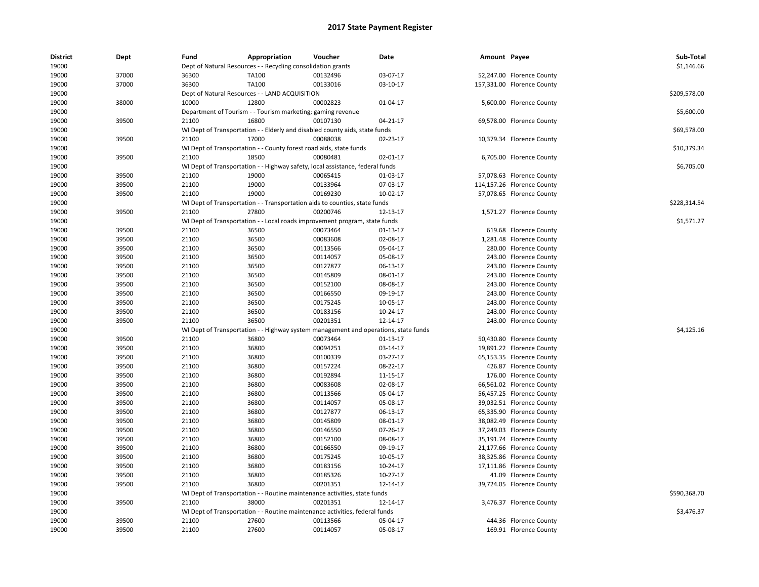| <b>District</b><br>19000 | Dept  | Fund  | Appropriation                                                                       | Voucher  | Date           | Amount Payee |                            | Sub-Total<br>\$1,146.66 |
|--------------------------|-------|-------|-------------------------------------------------------------------------------------|----------|----------------|--------------|----------------------------|-------------------------|
|                          |       |       | Dept of Natural Resources - - Recycling consolidation grants                        |          |                |              |                            |                         |
| 19000                    | 37000 | 36300 | TA100                                                                               | 00132496 | 03-07-17       |              | 52,247.00 Florence County  |                         |
| 19000                    | 37000 | 36300 | TA100                                                                               | 00133016 | 03-10-17       |              | 157,331.00 Florence County |                         |
| 19000                    |       |       | Dept of Natural Resources - - LAND ACQUISITION                                      |          |                |              |                            | \$209,578.00            |
| 19000                    | 38000 | 10000 | 12800                                                                               | 00002823 | 01-04-17       |              | 5,600.00 Florence County   |                         |
| 19000                    |       |       | Department of Tourism - - Tourism marketing; gaming revenue                         |          |                |              |                            | \$5,600.00              |
| 19000                    | 39500 | 21100 | 16800                                                                               | 00107130 | 04-21-17       |              | 69,578.00 Florence County  |                         |
| 19000                    |       |       | WI Dept of Transportation - - Elderly and disabled county aids, state funds         |          |                |              |                            | \$69,578.00             |
| 19000                    | 39500 | 21100 | 17000                                                                               | 00088038 | 02-23-17       |              | 10,379.34 Florence County  |                         |
| 19000                    |       |       | WI Dept of Transportation - - County forest road aids, state funds                  |          |                |              |                            | \$10,379.34             |
| 19000                    | 39500 | 21100 | 18500                                                                               | 00080481 | 02-01-17       |              | 6,705.00 Florence County   |                         |
| 19000                    |       |       | WI Dept of Transportation - - Highway safety, local assistance, federal funds       |          |                |              |                            | \$6,705.00              |
| 19000                    | 39500 | 21100 | 19000                                                                               | 00065415 | 01-03-17       |              | 57,078.63 Florence County  |                         |
| 19000                    | 39500 | 21100 | 19000                                                                               | 00133964 | 07-03-17       |              | 114,157.26 Florence County |                         |
| 19000                    | 39500 | 21100 | 19000                                                                               | 00169230 | $10-02-17$     |              | 57,078.65 Florence County  |                         |
| 19000                    |       |       | WI Dept of Transportation - - Transportation aids to counties, state funds          |          |                |              |                            | \$228,314.54            |
| 19000                    | 39500 | 21100 | 27800                                                                               | 00200746 | 12-13-17       |              | 1,571.27 Florence County   |                         |
| 19000                    |       |       | WI Dept of Transportation - - Local roads improvement program, state funds          |          |                |              |                            | \$1,571.27              |
| 19000                    | 39500 | 21100 | 36500                                                                               | 00073464 | $01-13-17$     |              | 619.68 Florence County     |                         |
| 19000                    | 39500 | 21100 | 36500                                                                               | 00083608 | 02-08-17       |              | 1,281.48 Florence County   |                         |
| 19000                    | 39500 | 21100 | 36500                                                                               | 00113566 | 05-04-17       |              | 280.00 Florence County     |                         |
| 19000                    | 39500 | 21100 | 36500                                                                               | 00114057 | 05-08-17       |              | 243.00 Florence County     |                         |
| 19000                    | 39500 | 21100 | 36500                                                                               | 00127877 | 06-13-17       |              | 243.00 Florence County     |                         |
| 19000                    | 39500 | 21100 | 36500                                                                               | 00145809 | 08-01-17       |              | 243.00 Florence County     |                         |
| 19000                    | 39500 | 21100 | 36500                                                                               | 00152100 | 08-08-17       |              | 243.00 Florence County     |                         |
| 19000                    | 39500 | 21100 | 36500                                                                               | 00166550 | 09-19-17       |              | 243.00 Florence County     |                         |
| 19000                    | 39500 | 21100 | 36500                                                                               | 00175245 | 10-05-17       |              | 243.00 Florence County     |                         |
| 19000                    | 39500 | 21100 | 36500                                                                               | 00183156 | 10-24-17       |              | 243.00 Florence County     |                         |
| 19000                    | 39500 | 21100 | 36500                                                                               | 00201351 | 12-14-17       |              | 243.00 Florence County     |                         |
| 19000                    |       |       | WI Dept of Transportation - - Highway system management and operations, state funds |          |                |              |                            | \$4,125.16              |
|                          |       |       |                                                                                     | 00073464 |                |              |                            |                         |
| 19000                    | 39500 | 21100 | 36800                                                                               |          | $01 - 13 - 17$ |              | 50,430.80 Florence County  |                         |
| 19000                    | 39500 | 21100 | 36800                                                                               | 00094251 | 03-14-17       |              | 19,891.22 Florence County  |                         |
| 19000                    | 39500 | 21100 | 36800                                                                               | 00100339 | 03-27-17       |              | 65,153.35 Florence County  |                         |
| 19000                    | 39500 | 21100 | 36800                                                                               | 00157224 | 08-22-17       |              | 426.87 Florence County     |                         |
| 19000                    | 39500 | 21100 | 36800                                                                               | 00192894 | 11-15-17       |              | 176.00 Florence County     |                         |
| 19000                    | 39500 | 21100 | 36800                                                                               | 00083608 | 02-08-17       |              | 66,561.02 Florence County  |                         |
| 19000                    | 39500 | 21100 | 36800                                                                               | 00113566 | 05-04-17       |              | 56,457.25 Florence County  |                         |
| 19000                    | 39500 | 21100 | 36800                                                                               | 00114057 | 05-08-17       |              | 39,032.51 Florence County  |                         |
| 19000                    | 39500 | 21100 | 36800                                                                               | 00127877 | 06-13-17       |              | 65,335.90 Florence County  |                         |
| 19000                    | 39500 | 21100 | 36800                                                                               | 00145809 | 08-01-17       |              | 38,082.49 Florence County  |                         |
| 19000                    | 39500 | 21100 | 36800                                                                               | 00146550 | 07-26-17       |              | 37,249.03 Florence County  |                         |
| 19000                    | 39500 | 21100 | 36800                                                                               | 00152100 | 08-08-17       |              | 35,191.74 Florence County  |                         |
| 19000                    | 39500 | 21100 | 36800                                                                               | 00166550 | 09-19-17       |              | 21,177.66 Florence County  |                         |
| 19000                    | 39500 | 21100 | 36800                                                                               | 00175245 | 10-05-17       |              | 38,325.86 Florence County  |                         |
| 19000                    | 39500 | 21100 | 36800                                                                               | 00183156 | 10-24-17       |              | 17,111.86 Florence County  |                         |
| 19000                    | 39500 | 21100 | 36800                                                                               | 00185326 | $10-27-17$     |              | 41.09 Florence County      |                         |
| 19000                    | 39500 | 21100 | 36800                                                                               | 00201351 | 12-14-17       |              | 39,724.05 Florence County  |                         |
| 19000                    |       |       | WI Dept of Transportation - - Routine maintenance activities, state funds           |          |                |              |                            | \$590,368.70            |
| 19000                    | 39500 | 21100 | 38000                                                                               | 00201351 | 12-14-17       |              | 3,476.37 Florence County   |                         |
| 19000                    |       |       | WI Dept of Transportation - - Routine maintenance activities, federal funds         |          |                |              |                            | \$3,476.37              |
| 19000                    | 39500 | 21100 | 27600                                                                               | 00113566 | 05-04-17       |              | 444.36 Florence County     |                         |
| 19000                    | 39500 | 21100 | 27600                                                                               | 00114057 | 05-08-17       |              | 169.91 Florence County     |                         |
|                          |       |       |                                                                                     |          |                |              |                            |                         |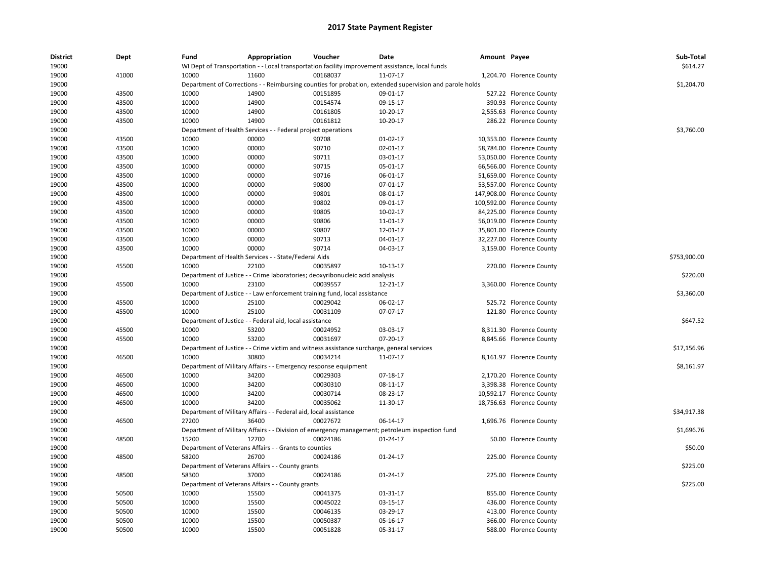| <b>District</b><br>19000 | Dept  | Fund  | Appropriation                                                    | Voucher                                                                                   | Date                                                                                                    | Amount Payee |                            | Sub-Total<br>\$614.27 |
|--------------------------|-------|-------|------------------------------------------------------------------|-------------------------------------------------------------------------------------------|---------------------------------------------------------------------------------------------------------|--------------|----------------------------|-----------------------|
|                          |       |       |                                                                  |                                                                                           | WI Dept of Transportation - - Local transportation facility improvement assistance, local funds         |              |                            |                       |
| 19000                    | 41000 | 10000 | 11600                                                            | 00168037                                                                                  | 11-07-17                                                                                                |              | 1,204.70 Florence County   |                       |
| 19000                    |       |       |                                                                  |                                                                                           | Department of Corrections - - Reimbursing counties for probation, extended supervision and parole holds |              |                            | \$1,204.70            |
| 19000                    | 43500 | 10000 | 14900                                                            | 00151895                                                                                  | 09-01-17                                                                                                |              | 527.22 Florence County     |                       |
| 19000                    | 43500 | 10000 | 14900                                                            | 00154574                                                                                  | 09-15-17                                                                                                |              | 390.93 Florence County     |                       |
| 19000                    | 43500 | 10000 | 14900                                                            | 00161805                                                                                  | 10-20-17                                                                                                |              | 2,555.63 Florence County   |                       |
| 19000                    | 43500 | 10000 | 14900                                                            | 00161812                                                                                  | 10-20-17                                                                                                |              | 286.22 Florence County     |                       |
| 19000                    |       |       | Department of Health Services - - Federal project operations     |                                                                                           |                                                                                                         |              |                            | \$3,760.00            |
| 19000                    | 43500 | 10000 | 00000                                                            | 90708                                                                                     | $01-02-17$                                                                                              |              | 10,353.00 Florence County  |                       |
| 19000                    | 43500 | 10000 | 00000                                                            | 90710                                                                                     | 02-01-17                                                                                                |              | 58,784.00 Florence County  |                       |
| 19000                    | 43500 | 10000 | 00000                                                            | 90711                                                                                     | 03-01-17                                                                                                |              | 53,050.00 Florence County  |                       |
| 19000                    | 43500 | 10000 | 00000                                                            | 90715                                                                                     | 05-01-17                                                                                                |              | 66,566.00 Florence County  |                       |
| 19000                    | 43500 | 10000 | 00000                                                            | 90716                                                                                     | 06-01-17                                                                                                |              | 51,659.00 Florence County  |                       |
| 19000                    | 43500 | 10000 | 00000                                                            | 90800                                                                                     | 07-01-17                                                                                                |              | 53,557.00 Florence County  |                       |
| 19000                    | 43500 | 10000 | 00000                                                            | 90801                                                                                     | 08-01-17                                                                                                |              | 147,908.00 Florence County |                       |
| 19000                    | 43500 | 10000 | 00000                                                            | 90802                                                                                     | 09-01-17                                                                                                |              | 100,592.00 Florence County |                       |
| 19000                    | 43500 | 10000 | 00000                                                            | 90805                                                                                     | 10-02-17                                                                                                |              | 84,225.00 Florence County  |                       |
| 19000                    | 43500 | 10000 | 00000                                                            | 90806                                                                                     | 11-01-17                                                                                                |              | 56,019.00 Florence County  |                       |
| 19000                    | 43500 | 10000 | 00000                                                            | 90807                                                                                     | 12-01-17                                                                                                |              | 35,801.00 Florence County  |                       |
| 19000                    | 43500 | 10000 | 00000                                                            | 90713                                                                                     | 04-01-17                                                                                                |              | 32,227.00 Florence County  |                       |
| 19000                    | 43500 | 10000 | 00000                                                            | 90714                                                                                     | 04-03-17                                                                                                |              | 3,159.00 Florence County   |                       |
| 19000                    |       |       | Department of Health Services - - State/Federal Aids             |                                                                                           |                                                                                                         |              |                            | \$753.900.00          |
| 19000                    | 45500 | 10000 | 22100                                                            | 00035897                                                                                  | 10-13-17                                                                                                |              | 220.00 Florence County     |                       |
| 19000                    |       |       |                                                                  | Department of Justice - - Crime laboratories; deoxyribonucleic acid analysis              |                                                                                                         |              |                            | \$220.00              |
| 19000                    | 45500 | 10000 | 23100                                                            | 00039557                                                                                  | 12-21-17                                                                                                |              | 3,360.00 Florence County   |                       |
| 19000                    |       |       |                                                                  | Department of Justice - - Law enforcement training fund, local assistance                 |                                                                                                         |              |                            | \$3,360.00            |
| 19000                    | 45500 | 10000 | 25100                                                            | 00029042                                                                                  | 06-02-17                                                                                                |              | 525.72 Florence County     |                       |
|                          |       | 10000 | 25100                                                            | 00031109                                                                                  | 07-07-17                                                                                                |              |                            |                       |
| 19000                    | 45500 |       |                                                                  |                                                                                           |                                                                                                         |              | 121.80 Florence County     | \$647.52              |
| 19000                    |       |       | Department of Justice - - Federal aid, local assistance          |                                                                                           |                                                                                                         |              |                            |                       |
| 19000                    | 45500 | 10000 | 53200                                                            | 00024952                                                                                  | 03-03-17                                                                                                |              | 8,311.30 Florence County   |                       |
| 19000                    | 45500 | 10000 | 53200                                                            | 00031697                                                                                  | 07-20-17                                                                                                |              | 8,845.66 Florence County   |                       |
| 19000                    |       |       |                                                                  | Department of Justice - - Crime victim and witness assistance surcharge, general services |                                                                                                         |              |                            | \$17,156.96           |
| 19000                    | 46500 | 10000 | 30800                                                            | 00034214                                                                                  | 11-07-17                                                                                                |              | 8,161.97 Florence County   |                       |
| 19000                    |       |       | Department of Military Affairs - - Emergency response equipment  |                                                                                           |                                                                                                         |              |                            | \$8,161.97            |
| 19000                    | 46500 | 10000 | 34200                                                            | 00029303                                                                                  | 07-18-17                                                                                                |              | 2,170.20 Florence County   |                       |
| 19000                    | 46500 | 10000 | 34200                                                            | 00030310                                                                                  | 08-11-17                                                                                                |              | 3,398.38 Florence County   |                       |
| 19000                    | 46500 | 10000 | 34200                                                            | 00030714                                                                                  | 08-23-17                                                                                                |              | 10,592.17 Florence County  |                       |
| 19000                    | 46500 | 10000 | 34200                                                            | 00035062                                                                                  | 11-30-17                                                                                                |              | 18,756.63 Florence County  |                       |
| 19000                    |       |       | Department of Military Affairs - - Federal aid, local assistance |                                                                                           |                                                                                                         |              |                            | \$34,917.38           |
| 19000                    | 46500 | 27200 | 36400                                                            | 00027672                                                                                  | 06-14-17                                                                                                |              | 1,696.76 Florence County   |                       |
| 19000                    |       |       |                                                                  |                                                                                           | Department of Military Affairs - - Division of emergency management; petroleum inspection fund          |              |                            | \$1,696.76            |
| 19000                    | 48500 | 15200 | 12700                                                            | 00024186                                                                                  | 01-24-17                                                                                                |              | 50.00 Florence County      |                       |
| 19000                    |       |       | Department of Veterans Affairs - - Grants to counties            |                                                                                           |                                                                                                         |              |                            | \$50.00               |
| 19000                    | 48500 | 58200 | 26700                                                            | 00024186                                                                                  | 01-24-17                                                                                                |              | 225.00 Florence County     |                       |
| 19000                    |       |       | Department of Veterans Affairs - - County grants                 |                                                                                           |                                                                                                         |              |                            | \$225.00              |
| 19000                    | 48500 | 58300 | 37000                                                            | 00024186                                                                                  | 01-24-17                                                                                                |              | 225.00 Florence County     |                       |
| 19000                    |       |       | Department of Veterans Affairs - - County grants                 |                                                                                           |                                                                                                         |              |                            | \$225.00              |
| 19000                    | 50500 | 10000 | 15500                                                            | 00041375                                                                                  | 01-31-17                                                                                                |              | 855.00 Florence County     |                       |
| 19000                    | 50500 | 10000 | 15500                                                            | 00045022                                                                                  | 03-15-17                                                                                                |              | 436.00 Florence County     |                       |
| 19000                    | 50500 | 10000 | 15500                                                            | 00046135                                                                                  | 03-29-17                                                                                                |              | 413.00 Florence County     |                       |
| 19000                    | 50500 | 10000 | 15500                                                            | 00050387                                                                                  | 05-16-17                                                                                                |              | 366.00 Florence County     |                       |
| 19000                    | 50500 | 10000 | 15500                                                            | 00051828                                                                                  | 05-31-17                                                                                                |              | 588.00 Florence County     |                       |
|                          |       |       |                                                                  |                                                                                           |                                                                                                         |              |                            |                       |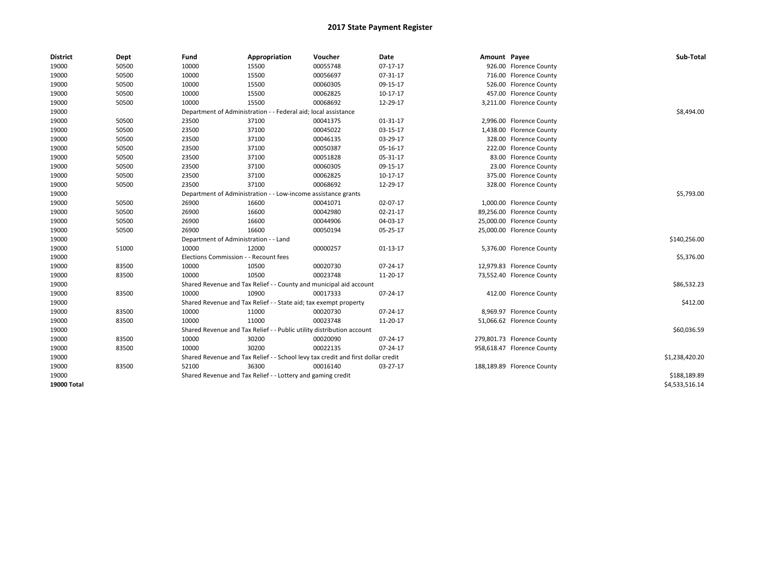| <b>District</b> | Dept  | Fund  | Appropriation                                                                    | Voucher  | Date       | Amount Payee |                            | Sub-Total      |
|-----------------|-------|-------|----------------------------------------------------------------------------------|----------|------------|--------------|----------------------------|----------------|
| 19000           | 50500 | 10000 | 15500                                                                            | 00055748 | $07-17-17$ |              | 926.00 Florence County     |                |
| 19000           | 50500 | 10000 | 15500                                                                            | 00056697 | 07-31-17   |              | 716.00 Florence County     |                |
| 19000           | 50500 | 10000 | 15500                                                                            | 00060305 | 09-15-17   |              | 526.00 Florence County     |                |
| 19000           | 50500 | 10000 | 15500                                                                            | 00062825 | 10-17-17   |              | 457.00 Florence County     |                |
| 19000           | 50500 | 10000 | 15500                                                                            | 00068692 | 12-29-17   |              | 3,211.00 Florence County   |                |
| 19000           |       |       | Department of Administration - - Federal aid; local assistance                   |          |            |              |                            | \$8,494.00     |
| 19000           | 50500 | 23500 | 37100                                                                            | 00041375 | 01-31-17   |              | 2,996.00 Florence County   |                |
| 19000           | 50500 | 23500 | 37100                                                                            | 00045022 | 03-15-17   |              | 1,438.00 Florence County   |                |
| 19000           | 50500 | 23500 | 37100                                                                            | 00046135 | 03-29-17   |              | 328.00 Florence County     |                |
| 19000           | 50500 | 23500 | 37100                                                                            | 00050387 | 05-16-17   |              | 222.00 Florence County     |                |
| 19000           | 50500 | 23500 | 37100                                                                            | 00051828 | 05-31-17   |              | 83.00 Florence County      |                |
| 19000           | 50500 | 23500 | 37100                                                                            | 00060305 | 09-15-17   |              | 23.00 Florence County      |                |
| 19000           | 50500 | 23500 | 37100                                                                            | 00062825 | 10-17-17   |              | 375.00 Florence County     |                |
| 19000           | 50500 | 23500 | 37100                                                                            | 00068692 | 12-29-17   |              | 328.00 Florence County     |                |
| 19000           |       |       | Department of Administration - - Low-income assistance grants                    |          |            |              |                            | \$5,793.00     |
| 19000           | 50500 | 26900 | 16600                                                                            | 00041071 | 02-07-17   |              | 1,000.00 Florence County   |                |
| 19000           | 50500 | 26900 | 16600                                                                            | 00042980 | 02-21-17   |              | 89,256.00 Florence County  |                |
| 19000           | 50500 | 26900 | 16600                                                                            | 00044906 | 04-03-17   |              | 25,000.00 Florence County  |                |
| 19000           | 50500 | 26900 | 16600                                                                            | 00050194 | 05-25-17   |              | 25,000.00 Florence County  |                |
| 19000           |       |       | Department of Administration - - Land                                            |          |            |              |                            | \$140,256.00   |
| 19000           | 51000 | 10000 | 12000                                                                            | 00000257 | $01-13-17$ |              | 5,376.00 Florence County   |                |
| 19000           |       |       | Elections Commission - - Recount fees                                            |          |            |              |                            | \$5,376.00     |
| 19000           | 83500 | 10000 | 10500                                                                            | 00020730 | 07-24-17   |              | 12,979.83 Florence County  |                |
| 19000           | 83500 | 10000 | 10500                                                                            | 00023748 | 11-20-17   |              | 73,552.40 Florence County  |                |
| 19000           |       |       | Shared Revenue and Tax Relief - - County and municipal aid account               |          |            |              |                            | \$86,532.23    |
| 19000           | 83500 | 10000 | 10900                                                                            | 00017333 | 07-24-17   |              | 412.00 Florence County     |                |
| 19000           |       |       | Shared Revenue and Tax Relief - - State aid; tax exempt property                 |          |            |              |                            | \$412.00       |
| 19000           | 83500 | 10000 | 11000                                                                            | 00020730 | 07-24-17   |              | 8,969.97 Florence County   |                |
| 19000           | 83500 | 10000 | 11000                                                                            | 00023748 | 11-20-17   |              | 51,066.62 Florence County  |                |
| 19000           |       |       | Shared Revenue and Tax Relief - - Public utility distribution account            |          |            |              |                            | \$60,036.59    |
| 19000           | 83500 | 10000 | 30200                                                                            | 00020090 | 07-24-17   |              | 279,801.73 Florence County |                |
| 19000           | 83500 | 10000 | 30200                                                                            | 00022135 | 07-24-17   |              | 958,618.47 Florence County |                |
| 19000           |       |       | Shared Revenue and Tax Relief - - School levy tax credit and first dollar credit |          |            |              |                            | \$1,238,420.20 |
| 19000           | 83500 | 52100 | 36300                                                                            | 00016140 | 03-27-17   |              | 188,189.89 Florence County |                |
| 19000           |       |       | Shared Revenue and Tax Relief - - Lottery and gaming credit                      |          |            |              |                            | \$188,189.89   |
| 19000 Total     |       |       |                                                                                  |          |            |              |                            | \$4,533,516.14 |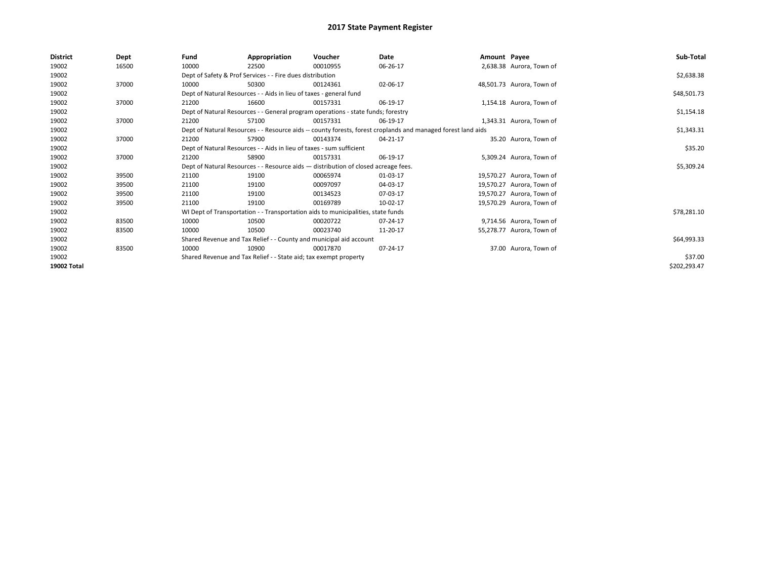| <b>District</b>    | Dept  | Fund  | Appropriation                                                                      | Voucher  | Date                                                                                                         | Amount Payee |                           | Sub-Total    |
|--------------------|-------|-------|------------------------------------------------------------------------------------|----------|--------------------------------------------------------------------------------------------------------------|--------------|---------------------------|--------------|
| 19002              | 16500 | 10000 | 22500                                                                              | 00010955 | 06-26-17                                                                                                     |              | 2,638.38 Aurora, Town of  |              |
| 19002              |       |       | Dept of Safety & Prof Services - - Fire dues distribution                          |          |                                                                                                              |              |                           | \$2,638.38   |
| 19002              | 37000 | 10000 | 50300                                                                              | 00124361 | 02-06-17                                                                                                     |              | 48,501.73 Aurora, Town of |              |
| 19002              |       |       | Dept of Natural Resources - - Aids in lieu of taxes - general fund                 |          |                                                                                                              |              |                           | \$48,501.73  |
| 19002              | 37000 | 21200 | 16600                                                                              | 00157331 | 06-19-17                                                                                                     |              | 1,154.18 Aurora, Town of  |              |
| 19002              |       |       | Dept of Natural Resources - - General program operations - state funds; forestry   |          |                                                                                                              |              |                           | \$1,154.18   |
| 19002              | 37000 | 21200 | 57100                                                                              | 00157331 | 06-19-17                                                                                                     |              | 1,343.31 Aurora, Town of  |              |
| 19002              |       |       |                                                                                    |          | Dept of Natural Resources - - Resource aids -- county forests, forest croplands and managed forest land aids |              |                           | \$1,343.31   |
| 19002              | 37000 | 21200 | 57900                                                                              | 00143374 | 04-21-17                                                                                                     |              | 35.20 Aurora, Town of     |              |
| 19002              |       |       | Dept of Natural Resources - - Aids in lieu of taxes - sum sufficient               |          |                                                                                                              |              |                           | \$35.20      |
| 19002              | 37000 | 21200 | 58900                                                                              | 00157331 | 06-19-17                                                                                                     |              | 5,309.24 Aurora, Town of  |              |
| 19002              |       |       | Dept of Natural Resources - - Resource aids - distribution of closed acreage fees. |          |                                                                                                              |              |                           | \$5,309.24   |
| 19002              | 39500 | 21100 | 19100                                                                              | 00065974 | 01-03-17                                                                                                     |              | 19,570.27 Aurora, Town of |              |
| 19002              | 39500 | 21100 | 19100                                                                              | 00097097 | 04-03-17                                                                                                     |              | 19,570.27 Aurora, Town of |              |
| 19002              | 39500 | 21100 | 19100                                                                              | 00134523 | 07-03-17                                                                                                     |              | 19,570.27 Aurora, Town of |              |
| 19002              | 39500 | 21100 | 19100                                                                              | 00169789 | 10-02-17                                                                                                     |              | 19,570.29 Aurora, Town of |              |
| 19002              |       |       | WI Dept of Transportation - - Transportation aids to municipalities, state funds   |          |                                                                                                              |              |                           | \$78,281.10  |
| 19002              | 83500 | 10000 | 10500                                                                              | 00020722 | 07-24-17                                                                                                     |              | 9,714.56 Aurora, Town of  |              |
| 19002              | 83500 | 10000 | 10500                                                                              | 00023740 | 11-20-17                                                                                                     |              | 55,278.77 Aurora, Town of |              |
| 19002              |       |       | Shared Revenue and Tax Relief - - County and municipal aid account                 |          |                                                                                                              |              |                           | \$64,993.33  |
| 19002              | 83500 | 10000 | 10900                                                                              | 00017870 | 07-24-17                                                                                                     |              | 37.00 Aurora, Town of     |              |
| 19002              |       |       | Shared Revenue and Tax Relief - - State aid; tax exempt property                   |          |                                                                                                              |              |                           | \$37.00      |
| <b>19002 Total</b> |       |       |                                                                                    |          |                                                                                                              |              |                           | \$202,293.47 |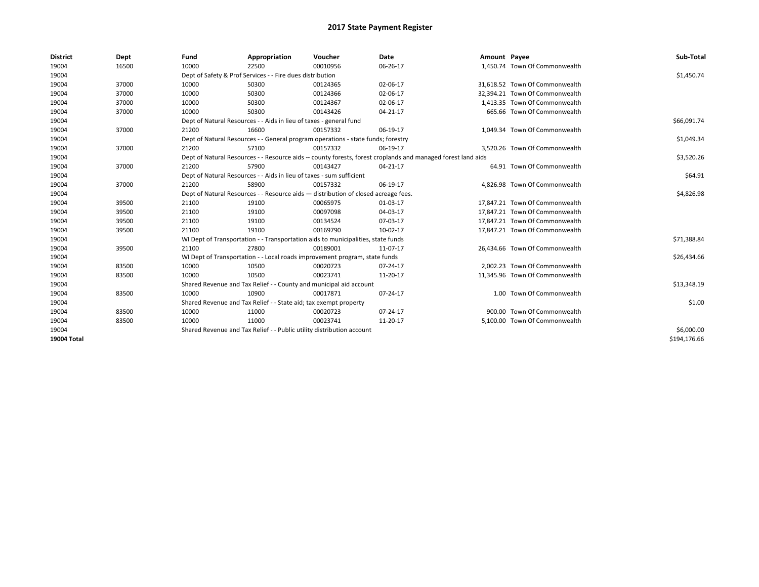| <b>District</b> | Dept  | Fund  | Appropriation                                                                                                | Voucher  | Date     | Amount Payee |                                | Sub-Total    |  |  |
|-----------------|-------|-------|--------------------------------------------------------------------------------------------------------------|----------|----------|--------------|--------------------------------|--------------|--|--|
| 19004           | 16500 | 10000 | 22500                                                                                                        | 00010956 | 06-26-17 |              | 1,450.74 Town Of Commonwealth  |              |  |  |
| 19004           |       |       | Dept of Safety & Prof Services - - Fire dues distribution                                                    |          |          |              |                                | \$1,450.74   |  |  |
| 19004           | 37000 | 10000 | 50300                                                                                                        | 00124365 | 02-06-17 |              | 31.618.52 Town Of Commonwealth |              |  |  |
| 19004           | 37000 | 10000 | 50300                                                                                                        | 00124366 | 02-06-17 |              | 32.394.21 Town Of Commonwealth |              |  |  |
| 19004           | 37000 | 10000 | 50300                                                                                                        | 00124367 | 02-06-17 |              | 1.413.35 Town Of Commonwealth  |              |  |  |
| 19004           | 37000 | 10000 | 50300                                                                                                        | 00143426 | 04-21-17 |              | 665.66 Town Of Commonwealth    |              |  |  |
| 19004           |       |       | Dept of Natural Resources - - Aids in lieu of taxes - general fund                                           |          |          |              |                                | \$66,091.74  |  |  |
| 19004           | 37000 | 21200 | 16600                                                                                                        | 00157332 | 06-19-17 |              | 1,049.34 Town Of Commonwealth  |              |  |  |
| 19004           |       |       | Dept of Natural Resources - - General program operations - state funds; forestry                             |          |          |              |                                | \$1,049.34   |  |  |
| 19004           | 37000 | 21200 | 57100                                                                                                        | 00157332 | 06-19-17 |              | 3,520.26 Town Of Commonwealth  |              |  |  |
| 19004           |       |       | Dept of Natural Resources - - Resource aids -- county forests, forest croplands and managed forest land aids |          |          |              |                                | \$3,520.26   |  |  |
| 19004           | 37000 | 21200 | 57900                                                                                                        | 00143427 | 04-21-17 |              | 64.91 Town Of Commonwealth     |              |  |  |
| 19004           |       |       | Dept of Natural Resources - - Aids in lieu of taxes - sum sufficient                                         |          |          |              |                                | \$64.91      |  |  |
| 19004           | 37000 | 21200 | 58900                                                                                                        | 00157332 | 06-19-17 |              | 4.826.98 Town Of Commonwealth  |              |  |  |
| 19004           |       |       | Dept of Natural Resources - - Resource aids - distribution of closed acreage fees.                           |          |          |              |                                |              |  |  |
| 19004           | 39500 | 21100 | 19100                                                                                                        | 00065975 | 01-03-17 |              | 17.847.21 Town Of Commonwealth |              |  |  |
| 19004           | 39500 | 21100 | 19100                                                                                                        | 00097098 | 04-03-17 |              | 17,847.21 Town Of Commonwealth |              |  |  |
| 19004           | 39500 | 21100 | 19100                                                                                                        | 00134524 | 07-03-17 |              | 17,847.21 Town Of Commonwealth |              |  |  |
| 19004           | 39500 | 21100 | 19100                                                                                                        | 00169790 | 10-02-17 |              | 17,847.21 Town Of Commonwealth |              |  |  |
| 19004           |       |       | WI Dept of Transportation - - Transportation aids to municipalities, state funds                             |          |          |              |                                | \$71,388.84  |  |  |
| 19004           | 39500 | 21100 | 27800                                                                                                        | 00189001 | 11-07-17 |              | 26,434.66 Town Of Commonwealth |              |  |  |
| 19004           |       |       | WI Dept of Transportation - - Local roads improvement program, state funds                                   |          |          |              |                                | \$26,434.66  |  |  |
| 19004           | 83500 | 10000 | 10500                                                                                                        | 00020723 | 07-24-17 |              | 2,002.23 Town Of Commonwealth  |              |  |  |
| 19004           | 83500 | 10000 | 10500                                                                                                        | 00023741 | 11-20-17 |              | 11,345.96 Town Of Commonwealth |              |  |  |
| 19004           |       |       | Shared Revenue and Tax Relief - - County and municipal aid account                                           |          |          |              |                                | \$13,348.19  |  |  |
| 19004           | 83500 | 10000 | 10900                                                                                                        | 00017871 | 07-24-17 |              | 1.00 Town Of Commonwealth      |              |  |  |
| 19004           |       |       | Shared Revenue and Tax Relief - - State aid; tax exempt property                                             |          |          |              |                                | \$1.00       |  |  |
| 19004           | 83500 | 10000 | 11000                                                                                                        | 00020723 | 07-24-17 |              | 900.00 Town Of Commonwealth    |              |  |  |
| 19004           | 83500 | 10000 | 11000                                                                                                        | 00023741 | 11-20-17 |              | 5,100.00 Town Of Commonwealth  |              |  |  |
| 19004           |       |       | Shared Revenue and Tax Relief - - Public utility distribution account                                        |          |          |              |                                | \$6,000.00   |  |  |
| 19004 Total     |       |       |                                                                                                              |          |          |              |                                | \$194.176.66 |  |  |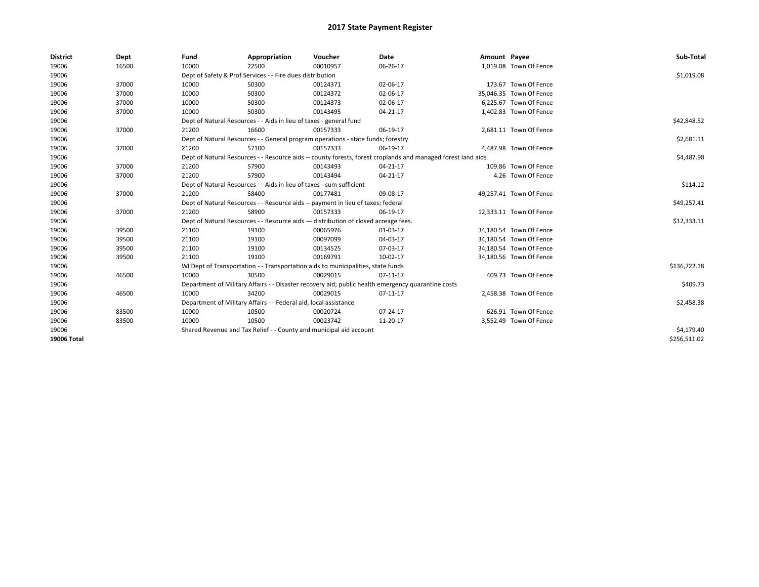| <b>District</b>    | Dept  | Fund  | Appropriation                                                                      | Voucher  | Date                                                                                                         | Amount Payee |                         | Sub-Total    |
|--------------------|-------|-------|------------------------------------------------------------------------------------|----------|--------------------------------------------------------------------------------------------------------------|--------------|-------------------------|--------------|
| 19006              | 16500 | 10000 | 22500                                                                              | 00010957 | 06-26-17                                                                                                     |              | 1,019.08 Town Of Fence  |              |
| 19006              |       |       | Dept of Safety & Prof Services - - Fire dues distribution                          |          |                                                                                                              |              |                         | \$1,019.08   |
| 19006              | 37000 | 10000 | 50300                                                                              | 00124371 | 02-06-17                                                                                                     |              | 173.67 Town Of Fence    |              |
| 19006              | 37000 | 10000 | 50300                                                                              | 00124372 | 02-06-17                                                                                                     |              | 35,046.35 Town Of Fence |              |
| 19006              | 37000 | 10000 | 50300                                                                              | 00124373 | 02-06-17                                                                                                     |              | 6,225.67 Town Of Fence  |              |
| 19006              | 37000 | 10000 | 50300                                                                              | 00143495 | $04 - 21 - 17$                                                                                               |              | 1,402.83 Town Of Fence  |              |
| 19006              |       |       | Dept of Natural Resources - - Aids in lieu of taxes - general fund                 |          |                                                                                                              |              |                         | \$42,848.52  |
| 19006              | 37000 | 21200 | 16600                                                                              | 00157333 | 06-19-17                                                                                                     |              | 2,681.11 Town Of Fence  |              |
| 19006              |       |       | Dept of Natural Resources - - General program operations - state funds; forestry   |          |                                                                                                              |              |                         | \$2,681.11   |
| 19006              | 37000 | 21200 | 57100                                                                              | 00157333 | 06-19-17                                                                                                     |              | 4,487.98 Town Of Fence  |              |
| 19006              |       |       |                                                                                    |          | Dept of Natural Resources - - Resource aids -- county forests, forest croplands and managed forest land aids |              |                         | \$4,487.98   |
| 19006              | 37000 | 21200 | 57900                                                                              | 00143493 | $04 - 21 - 17$                                                                                               |              | 109.86 Town Of Fence    |              |
| 19006              | 37000 | 21200 | 57900                                                                              | 00143494 | 04-21-17                                                                                                     |              | 4.26 Town Of Fence      |              |
| 19006              |       |       | Dept of Natural Resources - - Aids in lieu of taxes - sum sufficient               |          |                                                                                                              |              |                         | \$114.12     |
| 19006              | 37000 | 21200 | 58400                                                                              | 00177481 | 09-08-17                                                                                                     |              | 49,257.41 Town Of Fence |              |
| 19006              |       |       | Dept of Natural Resources - - Resource aids -- payment in lieu of taxes; federal   |          |                                                                                                              |              |                         | \$49,257.41  |
| 19006              | 37000 | 21200 | 58900                                                                              | 00157333 | 06-19-17                                                                                                     |              | 12,333.11 Town Of Fence |              |
| 19006              |       |       | Dept of Natural Resources - - Resource aids - distribution of closed acreage fees. |          |                                                                                                              |              |                         | \$12,333.11  |
| 19006              | 39500 | 21100 | 19100                                                                              | 00065976 | 01-03-17                                                                                                     |              | 34,180.54 Town Of Fence |              |
| 19006              | 39500 | 21100 | 19100                                                                              | 00097099 | 04-03-17                                                                                                     |              | 34.180.54 Town Of Fence |              |
| 19006              | 39500 | 21100 | 19100                                                                              | 00134525 | 07-03-17                                                                                                     |              | 34,180.54 Town Of Fence |              |
| 19006              | 39500 | 21100 | 19100                                                                              | 00169791 | 10-02-17                                                                                                     |              | 34,180.56 Town Of Fence |              |
| 19006              |       |       | WI Dept of Transportation - - Transportation aids to municipalities, state funds   |          |                                                                                                              |              |                         | \$136,722.18 |
| 19006              | 46500 | 10000 | 30500                                                                              | 00029015 | $07-11-17$                                                                                                   |              | 409.73 Town Of Fence    |              |
| 19006              |       |       |                                                                                    |          | Department of Military Affairs - - Disaster recovery aid; public health emergency quarantine costs           |              |                         | \$409.73     |
| 19006              | 46500 | 10000 | 34200                                                                              | 00029015 | 07-11-17                                                                                                     |              | 2,458.38 Town Of Fence  |              |
| 19006              |       |       | Department of Military Affairs - - Federal aid, local assistance                   |          |                                                                                                              |              |                         | \$2,458.38   |
| 19006              | 83500 | 10000 | 10500                                                                              | 00020724 | 07-24-17                                                                                                     |              | 626.91 Town Of Fence    |              |
| 19006              | 83500 | 10000 | 10500                                                                              | 00023742 | 11-20-17                                                                                                     |              | 3,552.49 Town Of Fence  |              |
| 19006              |       |       | Shared Revenue and Tax Relief - - County and municipal aid account                 |          |                                                                                                              |              |                         | \$4,179.40   |
| <b>19006 Total</b> |       |       |                                                                                    |          |                                                                                                              |              |                         | \$256,511.02 |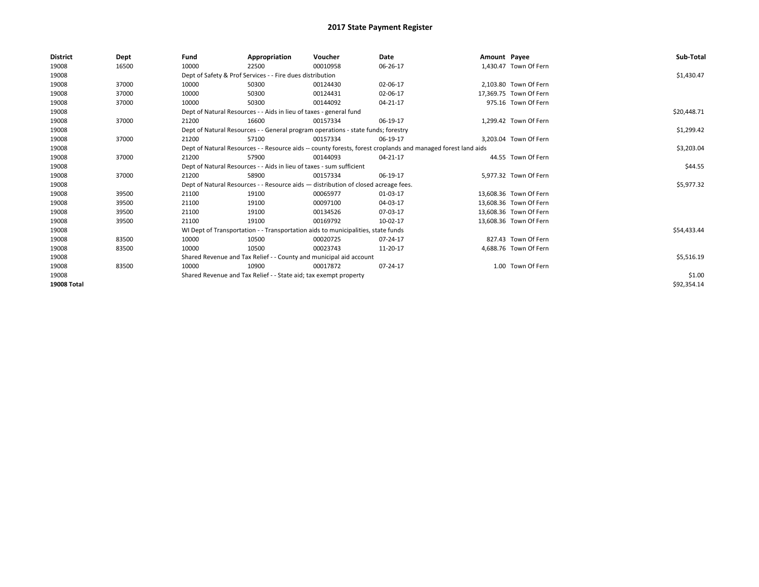| <b>District</b>    | Dept  | Fund                                                             | Appropriation                                                                      | Voucher  | Date                                                                                                         | Amount Payee |                        | Sub-Total   |  |  |
|--------------------|-------|------------------------------------------------------------------|------------------------------------------------------------------------------------|----------|--------------------------------------------------------------------------------------------------------------|--------------|------------------------|-------------|--|--|
| 19008              | 16500 | 10000                                                            | 22500                                                                              | 00010958 | 06-26-17                                                                                                     |              | 1.430.47 Town Of Fern  |             |  |  |
| 19008              |       |                                                                  | Dept of Safety & Prof Services - - Fire dues distribution                          |          |                                                                                                              |              |                        | \$1,430.47  |  |  |
| 19008              | 37000 | 10000                                                            | 50300                                                                              | 00124430 | 02-06-17                                                                                                     |              | 2.103.80 Town Of Fern  |             |  |  |
| 19008              | 37000 | 10000                                                            | 50300                                                                              | 00124431 | 02-06-17                                                                                                     |              | 17,369.75 Town Of Fern |             |  |  |
| 19008              | 37000 | 10000                                                            | 50300                                                                              | 00144092 | 04-21-17                                                                                                     |              | 975.16 Town Of Fern    |             |  |  |
| 19008              |       |                                                                  | Dept of Natural Resources - - Aids in lieu of taxes - general fund                 |          |                                                                                                              |              |                        | \$20,448.71 |  |  |
| 19008              | 37000 | 21200                                                            | 16600                                                                              | 00157334 | 06-19-17                                                                                                     |              | 1,299.42 Town Of Fern  |             |  |  |
| 19008              |       |                                                                  | Dept of Natural Resources - - General program operations - state funds; forestry   |          |                                                                                                              |              |                        | \$1,299.42  |  |  |
| 19008              | 37000 | 21200                                                            | 57100                                                                              | 00157334 | 06-19-17                                                                                                     |              | 3.203.04 Town Of Fern  |             |  |  |
| 19008              |       |                                                                  |                                                                                    |          | Dept of Natural Resources - - Resource aids -- county forests, forest croplands and managed forest land aids |              |                        | \$3,203.04  |  |  |
| 19008              | 37000 | 21200                                                            | 57900                                                                              | 00144093 | 04-21-17                                                                                                     |              | 44.55 Town Of Fern     |             |  |  |
| 19008              |       |                                                                  | Dept of Natural Resources - - Aids in lieu of taxes - sum sufficient               |          |                                                                                                              |              |                        |             |  |  |
| 19008              | 37000 | 21200                                                            | 58900                                                                              | 00157334 | 06-19-17                                                                                                     |              | 5,977.32 Town Of Fern  |             |  |  |
| 19008              |       |                                                                  | Dept of Natural Resources - - Resource aids - distribution of closed acreage fees. |          |                                                                                                              |              |                        | \$5,977.32  |  |  |
| 19008              | 39500 | 21100                                                            | 19100                                                                              | 00065977 | 01-03-17                                                                                                     |              | 13,608.36 Town Of Fern |             |  |  |
| 19008              | 39500 | 21100                                                            | 19100                                                                              | 00097100 | 04-03-17                                                                                                     |              | 13,608.36 Town Of Fern |             |  |  |
| 19008              | 39500 | 21100                                                            | 19100                                                                              | 00134526 | 07-03-17                                                                                                     |              | 13.608.36 Town Of Fern |             |  |  |
| 19008              | 39500 | 21100                                                            | 19100                                                                              | 00169792 | 10-02-17                                                                                                     |              | 13,608.36 Town Of Fern |             |  |  |
| 19008              |       |                                                                  | WI Dept of Transportation - - Transportation aids to municipalities, state funds   |          |                                                                                                              |              |                        | \$54,433.44 |  |  |
| 19008              | 83500 | 10000                                                            | 10500                                                                              | 00020725 | $07 - 24 - 17$                                                                                               |              | 827.43 Town Of Fern    |             |  |  |
| 19008              | 83500 | 10000                                                            | 10500                                                                              | 00023743 | 11-20-17                                                                                                     |              | 4,688.76 Town Of Fern  |             |  |  |
| 19008              |       |                                                                  | Shared Revenue and Tax Relief - - County and municipal aid account                 |          |                                                                                                              |              |                        | \$5,516.19  |  |  |
| 19008              | 83500 | 10000                                                            | 10900                                                                              | 00017872 | 07-24-17                                                                                                     |              | 1.00 Town Of Fern      |             |  |  |
| 19008              |       | Shared Revenue and Tax Relief - - State aid; tax exempt property |                                                                                    | \$1.00   |                                                                                                              |              |                        |             |  |  |
| <b>19008 Total</b> |       |                                                                  |                                                                                    |          |                                                                                                              |              |                        | \$92,354.14 |  |  |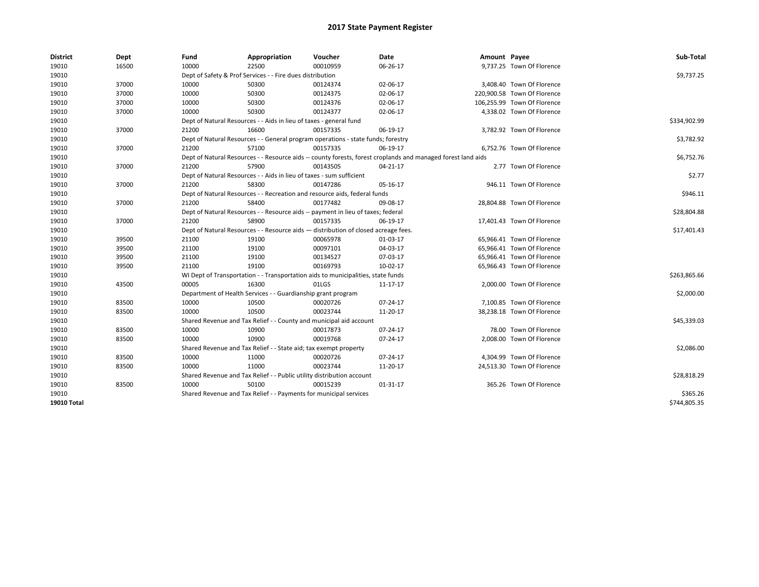| <b>District</b>    | Dept  | Fund  | Appropriation                                                                      | Voucher  | Date                                                                                                         | Amount Payee |                             | Sub-Total    |
|--------------------|-------|-------|------------------------------------------------------------------------------------|----------|--------------------------------------------------------------------------------------------------------------|--------------|-----------------------------|--------------|
| 19010              | 16500 | 10000 | 22500                                                                              | 00010959 | 06-26-17                                                                                                     |              | 9,737.25 Town Of Florence   |              |
| 19010              |       |       | Dept of Safety & Prof Services - - Fire dues distribution                          |          |                                                                                                              |              |                             | \$9,737.25   |
| 19010              | 37000 | 10000 | 50300                                                                              | 00124374 | 02-06-17                                                                                                     |              | 3,408.40 Town Of Florence   |              |
| 19010              | 37000 | 10000 | 50300                                                                              | 00124375 | 02-06-17                                                                                                     |              | 220,900.58 Town Of Florence |              |
| 19010              | 37000 | 10000 | 50300                                                                              | 00124376 | 02-06-17                                                                                                     |              | 106,255.99 Town Of Florence |              |
| 19010              | 37000 | 10000 | 50300                                                                              | 00124377 | 02-06-17                                                                                                     |              | 4,338.02 Town Of Florence   |              |
| 19010              |       |       | Dept of Natural Resources - - Aids in lieu of taxes - general fund                 |          |                                                                                                              |              |                             | \$334,902.99 |
| 19010              | 37000 | 21200 | 16600                                                                              | 00157335 | 06-19-17                                                                                                     |              | 3,782.92 Town Of Florence   |              |
| 19010              |       |       | Dept of Natural Resources - - General program operations - state funds; forestry   |          |                                                                                                              |              |                             | \$3,782.92   |
| 19010              | 37000 | 21200 | 57100                                                                              | 00157335 | 06-19-17                                                                                                     |              | 6,752.76 Town Of Florence   |              |
| 19010              |       |       |                                                                                    |          | Dept of Natural Resources - - Resource aids -- county forests, forest croplands and managed forest land aids |              |                             | \$6,752.76   |
| 19010              | 37000 | 21200 | 57900                                                                              | 00143505 | 04-21-17                                                                                                     |              | 2.77 Town Of Florence       |              |
| 19010              |       |       | Dept of Natural Resources - - Aids in lieu of taxes - sum sufficient               |          |                                                                                                              |              |                             | \$2.77       |
| 19010              | 37000 | 21200 | 58300                                                                              | 00147286 | 05-16-17                                                                                                     |              | 946.11 Town Of Florence     |              |
| 19010              |       |       | Dept of Natural Resources - - Recreation and resource aids, federal funds          |          |                                                                                                              |              |                             | \$946.11     |
| 19010              | 37000 | 21200 | 58400                                                                              | 00177482 | 09-08-17                                                                                                     |              | 28,804.88 Town Of Florence  |              |
| 19010              |       |       | Dept of Natural Resources - - Resource aids -- payment in lieu of taxes; federal   |          |                                                                                                              |              |                             | \$28,804.88  |
| 19010              | 37000 | 21200 | 58900                                                                              | 00157335 | 06-19-17                                                                                                     |              | 17,401.43 Town Of Florence  |              |
| 19010              |       |       | Dept of Natural Resources - - Resource aids - distribution of closed acreage fees. |          |                                                                                                              |              |                             | \$17,401.43  |
| 19010              | 39500 | 21100 | 19100                                                                              | 00065978 | 01-03-17                                                                                                     |              | 65,966.41 Town Of Florence  |              |
| 19010              | 39500 | 21100 | 19100                                                                              | 00097101 | 04-03-17                                                                                                     |              | 65.966.41 Town Of Florence  |              |
| 19010              | 39500 | 21100 | 19100                                                                              | 00134527 | 07-03-17                                                                                                     |              | 65,966.41 Town Of Florence  |              |
| 19010              | 39500 | 21100 | 19100                                                                              | 00169793 | 10-02-17                                                                                                     |              | 65.966.43 Town Of Florence  |              |
| 19010              |       |       | WI Dept of Transportation - - Transportation aids to municipalities, state funds   |          |                                                                                                              |              |                             | \$263,865.66 |
| 19010              | 43500 | 00005 | 16300                                                                              | 01LGS    | 11-17-17                                                                                                     |              | 2,000.00 Town Of Florence   |              |
| 19010              |       |       | Department of Health Services - - Guardianship grant program                       |          |                                                                                                              |              |                             | \$2,000.00   |
| 19010              | 83500 | 10000 | 10500                                                                              | 00020726 | 07-24-17                                                                                                     |              | 7.100.85 Town Of Florence   |              |
| 19010              | 83500 | 10000 | 10500                                                                              | 00023744 | 11-20-17                                                                                                     |              | 38,238.18 Town Of Florence  |              |
| 19010              |       |       | Shared Revenue and Tax Relief - - County and municipal aid account                 |          |                                                                                                              |              |                             | \$45,339.03  |
| 19010              | 83500 | 10000 | 10900                                                                              | 00017873 | 07-24-17                                                                                                     |              | 78.00 Town Of Florence      |              |
| 19010              | 83500 | 10000 | 10900                                                                              | 00019768 | 07-24-17                                                                                                     |              | 2,008.00 Town Of Florence   |              |
| 19010              |       |       | Shared Revenue and Tax Relief - - State aid; tax exempt property                   |          |                                                                                                              |              |                             | \$2,086.00   |
| 19010              | 83500 | 10000 | 11000                                                                              | 00020726 | 07-24-17                                                                                                     |              | 4,304.99 Town Of Florence   |              |
| 19010              | 83500 | 10000 | 11000                                                                              | 00023744 | 11-20-17                                                                                                     |              | 24,513.30 Town Of Florence  |              |
| 19010              |       |       | Shared Revenue and Tax Relief - - Public utility distribution account              |          |                                                                                                              |              |                             | \$28,818.29  |
| 19010              | 83500 | 10000 | 50100                                                                              | 00015239 | 01-31-17                                                                                                     |              | 365.26 Town Of Florence     |              |
| 19010              |       |       | Shared Revenue and Tax Relief - - Payments for municipal services                  |          |                                                                                                              |              |                             | \$365.26     |
| <b>19010 Total</b> |       |       |                                                                                    |          |                                                                                                              |              |                             | \$744,805.35 |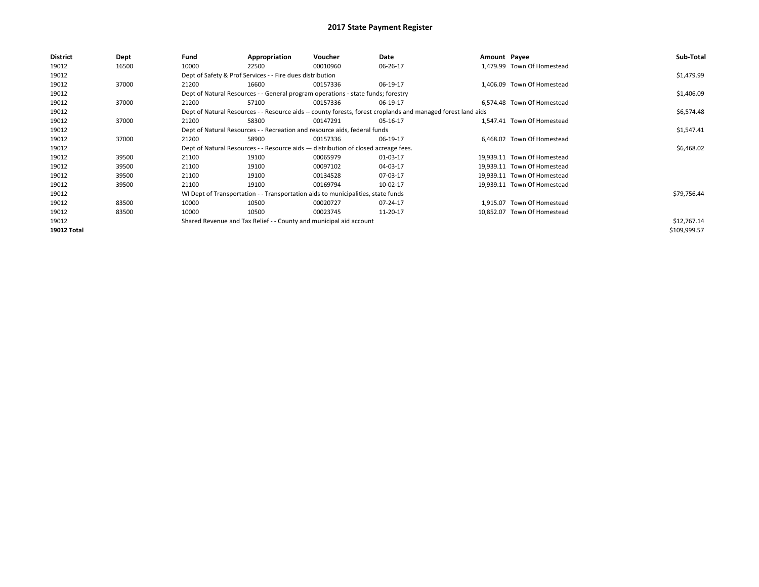| District           | Dept  | Fund  | Appropriation                                                                      | Voucher  | Date                                                                                                         | Amount Payee |                             | Sub-Total    |
|--------------------|-------|-------|------------------------------------------------------------------------------------|----------|--------------------------------------------------------------------------------------------------------------|--------------|-----------------------------|--------------|
| 19012              | 16500 | 10000 | 22500                                                                              | 00010960 | 06-26-17                                                                                                     |              | 1.479.99 Town Of Homestead  |              |
| 19012              |       |       | Dept of Safety & Prof Services - - Fire dues distribution                          |          |                                                                                                              |              |                             | \$1,479.99   |
| 19012              | 37000 | 21200 | 16600                                                                              | 00157336 | 06-19-17                                                                                                     |              | 1,406.09 Town Of Homestead  |              |
| 19012              |       |       | Dept of Natural Resources - - General program operations - state funds; forestry   |          |                                                                                                              |              |                             | \$1,406.09   |
| 19012              | 37000 | 21200 | 57100                                                                              | 00157336 | 06-19-17                                                                                                     |              | 6.574.48 Town Of Homestead  |              |
| 19012              |       |       |                                                                                    |          | Dept of Natural Resources - - Resource aids -- county forests, forest croplands and managed forest land aids |              |                             | \$6,574.48   |
| 19012              | 37000 | 21200 | 58300                                                                              | 00147291 | 05-16-17                                                                                                     |              | 1.547.41 Town Of Homestead  |              |
| 19012              |       |       | Dept of Natural Resources - - Recreation and resource aids, federal funds          |          |                                                                                                              |              |                             | \$1,547.41   |
| 19012              | 37000 | 21200 | 58900                                                                              | 00157336 | 06-19-17                                                                                                     |              | 6,468.02 Town Of Homestead  |              |
| 19012              |       |       | Dept of Natural Resources - - Resource aids - distribution of closed acreage fees. |          |                                                                                                              |              |                             | \$6,468.02   |
| 19012              | 39500 | 21100 | 19100                                                                              | 00065979 | 01-03-17                                                                                                     |              | 19,939.11 Town Of Homestead |              |
| 19012              | 39500 | 21100 | 19100                                                                              | 00097102 | 04-03-17                                                                                                     |              | 19,939.11 Town Of Homestead |              |
| 19012              | 39500 | 21100 | 19100                                                                              | 00134528 | 07-03-17                                                                                                     |              | 19.939.11 Town Of Homestead |              |
| 19012              | 39500 | 21100 | 19100                                                                              | 00169794 | 10-02-17                                                                                                     |              | 19,939.11 Town Of Homestead |              |
| 19012              |       |       | WI Dept of Transportation - - Transportation aids to municipalities, state funds   |          |                                                                                                              |              |                             | \$79,756.44  |
| 19012              | 83500 | 10000 | 10500                                                                              | 00020727 | 07-24-17                                                                                                     |              | 1.915.07 Town Of Homestead  |              |
| 19012              | 83500 | 10000 | 10500                                                                              | 00023745 | 11-20-17                                                                                                     |              | 10,852.07 Town Of Homestead |              |
| 19012              |       |       | Shared Revenue and Tax Relief - - County and municipal aid account                 |          |                                                                                                              |              |                             | \$12,767.14  |
| <b>19012 Total</b> |       |       |                                                                                    |          |                                                                                                              |              |                             | \$109,999.57 |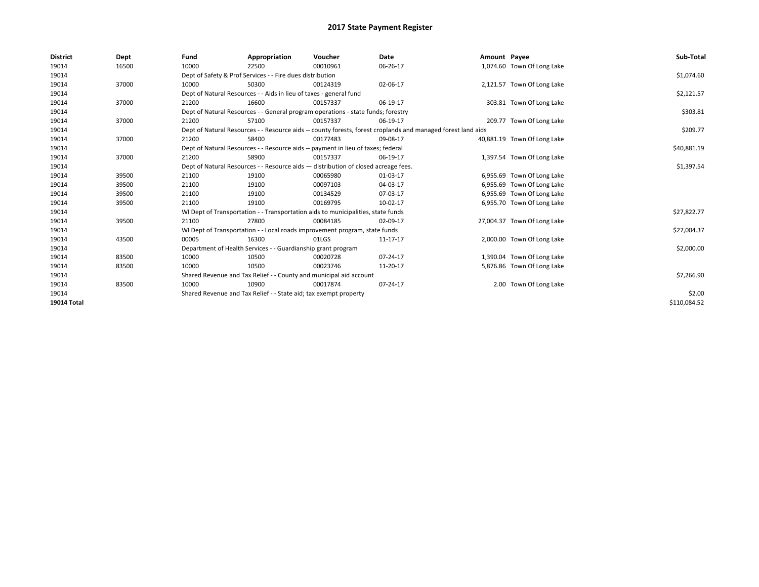| <b>District</b> | Dept  | Fund                                                                               | Appropriation                                                                    | Voucher    | Date                                                                                                         | Amount Payee |                             | Sub-Total    |  |
|-----------------|-------|------------------------------------------------------------------------------------|----------------------------------------------------------------------------------|------------|--------------------------------------------------------------------------------------------------------------|--------------|-----------------------------|--------------|--|
| 19014           | 16500 | 10000                                                                              | 22500                                                                            | 00010961   | 06-26-17                                                                                                     |              | 1,074.60 Town Of Long Lake  |              |  |
| 19014           |       |                                                                                    | Dept of Safety & Prof Services - - Fire dues distribution                        |            |                                                                                                              |              |                             | \$1,074.60   |  |
| 19014           | 37000 | 10000                                                                              | 50300                                                                            | 00124319   | 02-06-17                                                                                                     |              | 2,121.57 Town Of Long Lake  |              |  |
| 19014           |       |                                                                                    | Dept of Natural Resources - - Aids in lieu of taxes - general fund               |            |                                                                                                              |              |                             | \$2,121.57   |  |
| 19014           | 37000 | 21200                                                                              | 16600                                                                            | 00157337   | 06-19-17                                                                                                     |              | 303.81 Town Of Long Lake    |              |  |
| 19014           |       |                                                                                    | Dept of Natural Resources - - General program operations - state funds; forestry |            |                                                                                                              |              |                             |              |  |
| 19014           | 37000 | 21200                                                                              | 57100                                                                            | 00157337   | 06-19-17                                                                                                     |              | 209.77 Town Of Long Lake    |              |  |
| 19014           |       |                                                                                    |                                                                                  |            | Dept of Natural Resources - - Resource aids -- county forests, forest croplands and managed forest land aids |              |                             | \$209.77     |  |
| 19014           | 37000 | 21200                                                                              | 58400                                                                            | 00177483   | 09-08-17                                                                                                     |              | 40,881.19 Town Of Long Lake |              |  |
| 19014           |       |                                                                                    | Dept of Natural Resources - - Resource aids -- payment in lieu of taxes; federal |            |                                                                                                              |              |                             | \$40,881.19  |  |
| 19014           | 37000 | 21200                                                                              | 58900                                                                            | 00157337   | 06-19-17                                                                                                     |              | 1,397.54 Town Of Long Lake  |              |  |
| 19014           |       | Dept of Natural Resources - - Resource aids - distribution of closed acreage fees. |                                                                                  | \$1,397.54 |                                                                                                              |              |                             |              |  |
| 19014           | 39500 | 21100                                                                              | 19100                                                                            | 00065980   | 01-03-17                                                                                                     |              | 6,955.69 Town Of Long Lake  |              |  |
| 19014           | 39500 | 21100                                                                              | 19100                                                                            | 00097103   | 04-03-17                                                                                                     |              | 6,955.69 Town Of Long Lake  |              |  |
| 19014           | 39500 | 21100                                                                              | 19100                                                                            | 00134529   | 07-03-17                                                                                                     |              | 6,955.69 Town Of Long Lake  |              |  |
| 19014           | 39500 | 21100                                                                              | 19100                                                                            | 00169795   | 10-02-17                                                                                                     |              | 6,955.70 Town Of Long Lake  |              |  |
| 19014           |       |                                                                                    | WI Dept of Transportation - - Transportation aids to municipalities, state funds |            |                                                                                                              |              |                             | \$27,822.77  |  |
| 19014           | 39500 | 21100                                                                              | 27800                                                                            | 00084185   | 02-09-17                                                                                                     |              | 27,004.37 Town Of Long Lake |              |  |
| 19014           |       |                                                                                    | WI Dept of Transportation - - Local roads improvement program, state funds       |            |                                                                                                              |              |                             | \$27,004.37  |  |
| 19014           | 43500 | 00005                                                                              | 16300                                                                            | 01LGS      | 11-17-17                                                                                                     |              | 2,000.00 Town Of Long Lake  |              |  |
| 19014           |       |                                                                                    | Department of Health Services - - Guardianship grant program                     |            |                                                                                                              |              |                             | \$2,000.00   |  |
| 19014           | 83500 | 10000                                                                              | 10500                                                                            | 00020728   | 07-24-17                                                                                                     |              | 1,390.04 Town Of Long Lake  |              |  |
| 19014           | 83500 | 10000                                                                              | 10500                                                                            | 00023746   | 11-20-17                                                                                                     |              | 5,876.86 Town Of Long Lake  |              |  |
| 19014           |       |                                                                                    | Shared Revenue and Tax Relief - - County and municipal aid account               |            |                                                                                                              |              |                             | \$7,266.90   |  |
| 19014           | 83500 | 10000                                                                              | 10900                                                                            | 00017874   | 07-24-17                                                                                                     |              | 2.00 Town Of Long Lake      |              |  |
| 19014           |       | Shared Revenue and Tax Relief - - State aid; tax exempt property                   |                                                                                  | \$2.00     |                                                                                                              |              |                             |              |  |
| 19014 Total     |       |                                                                                    |                                                                                  |            |                                                                                                              |              |                             | \$110,084.52 |  |